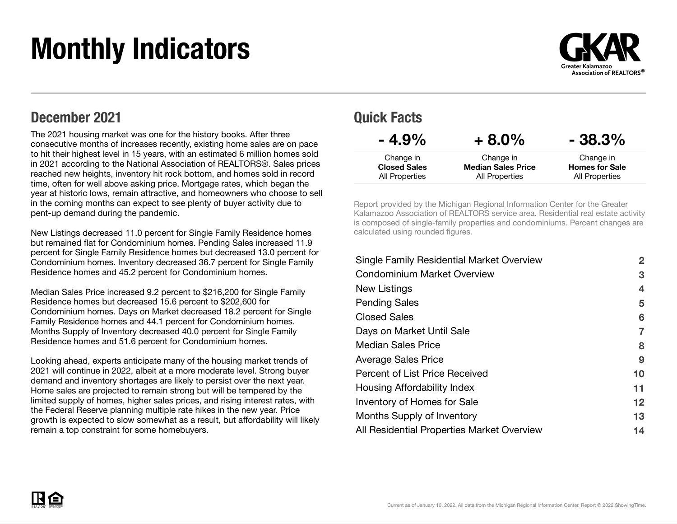# Monthly Indicators



### December 2021

The 2021 housing market was one for the history books. After three consecutive months of increases recently, existing home sales are on pace to hit their highest level in 15 years, with an estimated 6 million homes sold in 2021 according to the National Association of REALTORS®. Sales prices reached new heights, inventory hit rock bottom, and homes sold in record time, often for well above asking price. Mortgage rates, which began the year at historic lows, remain attractive, and homeowners who choose to sell in the coming months can expect to see plenty of buyer activity due to pent-up demand during the pandemic.

New Listings decreased 11.0 percent for Single Family Residence homes but remained flat for Condominium homes. Pending Sales increased 11.9 percent for Single Family Residence homes but decreased 13.0 percent for Condominium homes. Inventory decreased 36.7 percent for Single Family Residence homes and 45.2 percent for Condominium homes.

Median Sales Price increased 9.2 percent to \$216,200 for Single Family Residence homes but decreased 15.6 percent to \$202,600 for Condominium homes. Days on Market decreased 18.2 percent for Single Family Residence homes and 44.1 percent for Condominium homes. Months Supply of Inventory decreased 40.0 percent for Single Family Residence homes and 51.6 percent for Condominium homes.

Looking ahead, experts anticipate many of the housing market trends of 2021 will continue in 2022, albeit at a more moderate level. Strong buyer demand and inventory shortages are likely to persist over the next year. Home sales are projected to remain strong but will be tempered by the limited supply of homes, higher sales prices, and rising interest rates, with the Federal Reserve planning multiple rate hikes in the new year. Price growth is expected to slow somewhat as a result, but affordability will likely remain a top constraint for some homebuyers.

### Quick Facts

| $-4.9\%$            | $+8.0\%$                  | $-38.3%$              |
|---------------------|---------------------------|-----------------------|
| Change in           | Change in                 | Change in             |
| <b>Closed Sales</b> | <b>Median Sales Price</b> | <b>Homes for Sale</b> |
| All Properties      | All Properties            | All Properties        |

Report provided by the Michigan Regional Information Center for the Greater Kalamazoo Association of REALTORS service area. Residential real estate activity is composed of single-family properties and condominiums. Percent changes are calculated using rounded figures.

| <b>Single Family Residential Market Overview</b> | $\overline{2}$ |
|--------------------------------------------------|----------------|
| <b>Condominium Market Overview</b>               | 3              |
| New Listings                                     | 4              |
| <b>Pending Sales</b>                             | 5              |
| <b>Closed Sales</b>                              | 6              |
| Days on Market Until Sale                        |                |
| <b>Median Sales Price</b>                        | 8              |
| <b>Average Sales Price</b>                       | 9              |
| Percent of List Price Received                   | 10             |
| Housing Affordability Index                      | 11             |
| <b>Inventory of Homes for Sale</b>               | 12             |
| Months Supply of Inventory                       | 13             |
| All Residential Properties Market Overview       | 14             |

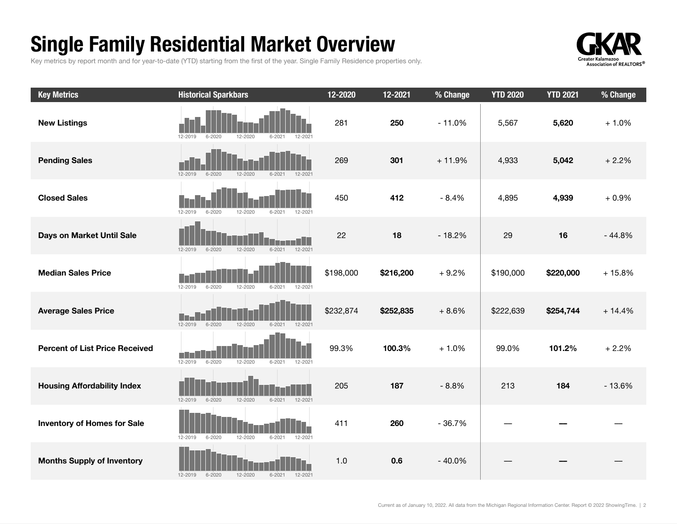## Single Family Residential Market Overview

Key metrics by report month and for year-to-date (YTD) starting from the first of the year. Single Family Residence properties only.



| <b>Key Metrics</b>                    | <b>Historical Sparkbars</b>                                       | 12-2020   | 12-2021   | % Change | <b>YTD 2020</b> | <b>YTD 2021</b> | % Change |
|---------------------------------------|-------------------------------------------------------------------|-----------|-----------|----------|-----------------|-----------------|----------|
| <b>New Listings</b>                   | $6 - 2020$<br>12-2019<br>12-2020<br>$6 - 202$<br>$12 - 202$       | 281       | 250       | $-11.0%$ | 5,567           | 5,620           | $+1.0%$  |
| <b>Pending Sales</b>                  | $6 - 2020$<br>12-2020<br>12-2019<br>$6 - 2021$<br>$12 - 202$      | 269       | 301       | $+11.9%$ | 4,933           | 5,042           | $+2.2%$  |
| <b>Closed Sales</b>                   | $6 - 2020$<br>12-2020<br>12-2019<br>$6 - 2021$<br>12-2021         | 450       | 412       | $-8.4%$  | 4,895           | 4,939           | $+0.9%$  |
| Days on Market Until Sale             | $6 - 2020$<br>12-2021<br>$12 - 2019$<br>12-2020<br>$6 - 2021$     | 22        | 18        | $-18.2%$ | 29              | 16              | $-44.8%$ |
| <b>Median Sales Price</b>             | $6 - 2020$<br>12-2020<br>$6 - 2021$<br>12-2019<br>12-2021         | \$198,000 | \$216,200 | $+9.2%$  | \$190,000       | \$220,000       | $+15.8%$ |
| <b>Average Sales Price</b>            | $12 - 2019$<br>$6 - 2020$<br>12-2020<br>$6 - 2021$<br>12-2021     | \$232,874 | \$252,835 | $+8.6%$  | \$222,639       | \$254,744       | $+14.4%$ |
| <b>Percent of List Price Received</b> | $12 - 2019$<br>$6 - 2020$<br>$12 - 2020$<br>$6 - 2021$<br>12-2021 | 99.3%     | 100.3%    | $+1.0%$  | 99.0%           | 101.2%          | $+2.2%$  |
| <b>Housing Affordability Index</b>    | $12 - 2019$<br>$6 - 2020$<br>12-2020<br>$6 - 2021$<br>12-2021     | 205       | 187       | $-8.8%$  | 213             | 184             | $-13.6%$ |
| <b>Inventory of Homes for Sale</b>    | 12-2020<br>12-2021<br>12-2019<br>$6 - 2020$<br>$6 - 2021$         | 411       | 260       | $-36.7%$ |                 |                 |          |
| <b>Months Supply of Inventory</b>     | 12-2019<br>$6 - 2020$<br>12-2020<br>$6 - 2021$<br>12-2021         | 1.0       | 0.6       | $-40.0%$ |                 |                 |          |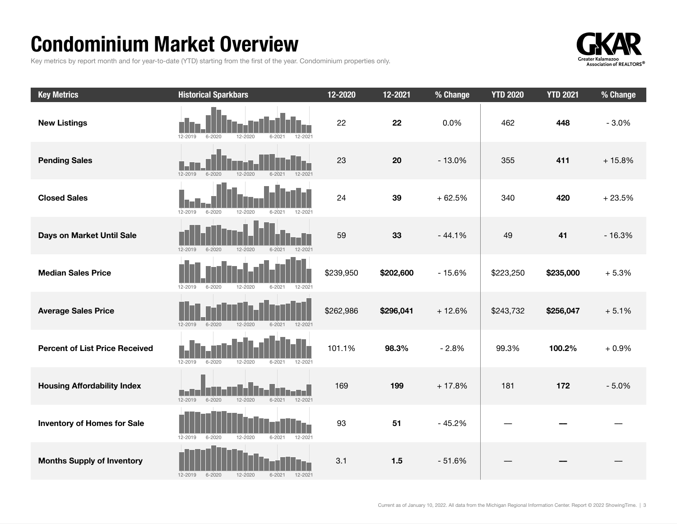## Condominium Market Overview

Key metrics by report month and for year-to-date (YTD) starting from the first of the year. Condominium properties only.



| <b>Key Metrics</b>                    | <b>Historical Sparkbars</b>                                       | 12-2020   | 12-2021   | % Change | <b>YTD 2020</b> | <b>YTD 2021</b> | % Change |
|---------------------------------------|-------------------------------------------------------------------|-----------|-----------|----------|-----------------|-----------------|----------|
| <b>New Listings</b>                   | 12-2019<br>$6 - 2020$<br>12-2020<br>$6 - 202$<br>12-2021          | 22        | 22        | 0.0%     | 462             | 448             | $-3.0%$  |
| <b>Pending Sales</b>                  | 12-2019<br>$6 - 2020$<br>12-2020<br>12-2021<br>$6 - 2021$         | 23        | 20        | $-13.0%$ | 355             | 411             | $+15.8%$ |
| <b>Closed Sales</b>                   | $12 - 2019$<br>$6 - 2020$<br>$12 - 2020$<br>$6 - 2021$<br>12-2021 | 24        | 39        | $+62.5%$ | 340             | 420             | $+23.5%$ |
| Days on Market Until Sale             | $12 - 2019$<br>$6 - 2020$<br>12-2020<br>$6 - 2021$<br>12-2021     | 59        | 33        | $-44.1%$ | 49              | 41              | $-16.3%$ |
| <b>Median Sales Price</b>             | $12 - 2019$<br>$6 - 2020$<br>12-2020<br>$6 - 2021$<br>12-2021     | \$239,950 | \$202,600 | $-15.6%$ | \$223,250       | \$235,000       | $+5.3%$  |
| <b>Average Sales Price</b>            | $12 - 2019$<br>$6 - 2020$<br>12-2020<br>$6 - 2021$<br>12-2021     | \$262,986 | \$296,041 | $+12.6%$ | \$243,732       | \$256,047       | $+5.1%$  |
| <b>Percent of List Price Received</b> | $12 - 2019$<br>$6 - 2020$<br>12-2020<br>$6 - 2021$<br>12-2021     | 101.1%    | 98.3%     | $-2.8%$  | 99.3%           | 100.2%          | $+0.9%$  |
| <b>Housing Affordability Index</b>    | 12-2020<br>12-2019<br>$6 - 2020$<br>$6 - 2021$<br>12-2021         | 169       | 199       | $+17.8%$ | 181             | 172             | $-5.0%$  |
| <b>Inventory of Homes for Sale</b>    | 12-2019<br>$6 - 2020$<br>12-2020<br>$6 - 2021$<br>12-2021         | 93        | 51        | $-45.2%$ |                 |                 |          |
| <b>Months Supply of Inventory</b>     | $12 - 2019$<br>$6 - 2020$<br>12-2020<br>$6 - 2021$<br>12-2021     | 3.1       | 1.5       | $-51.6%$ |                 |                 |          |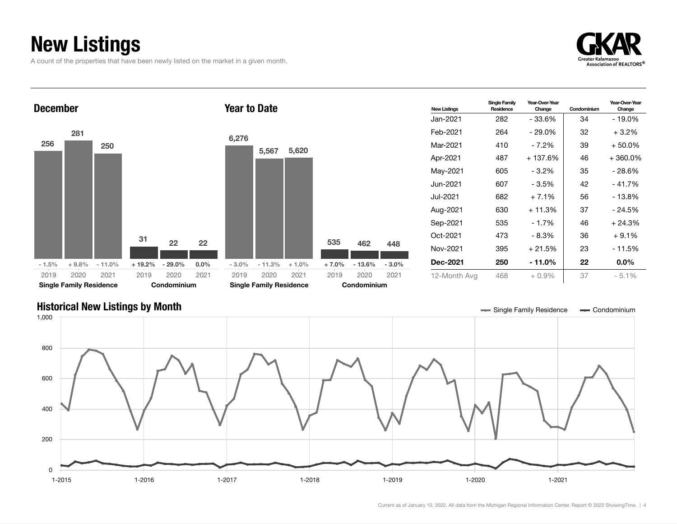## New Listings

A count of the properties that have been newly listed on the market in a given month.





### Historical New Listings by Month **Single Tank and Accord Condominium** Single Family Residence **Single Family Residence Single Family Residence Single Family Residence Single Family Residence Single Family Residence**

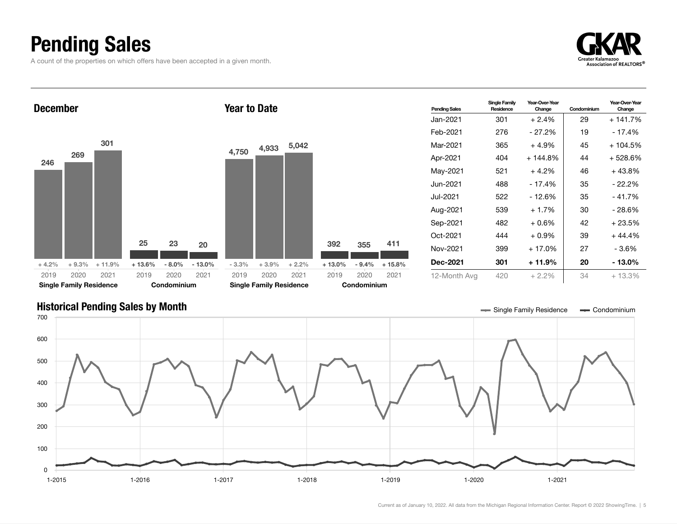## Pending Sales

A count of the properties on which offers have been accepted in a given month.

![](_page_4_Picture_2.jpeg)

![](_page_4_Figure_3.jpeg)

### Historical Pending Sales by Month **Single Tana and Single Tana and Single Family Residence Single Family Residence Single Family Residence Single Family Residence Single Family Residence Single Family Residence**

![](_page_4_Figure_5.jpeg)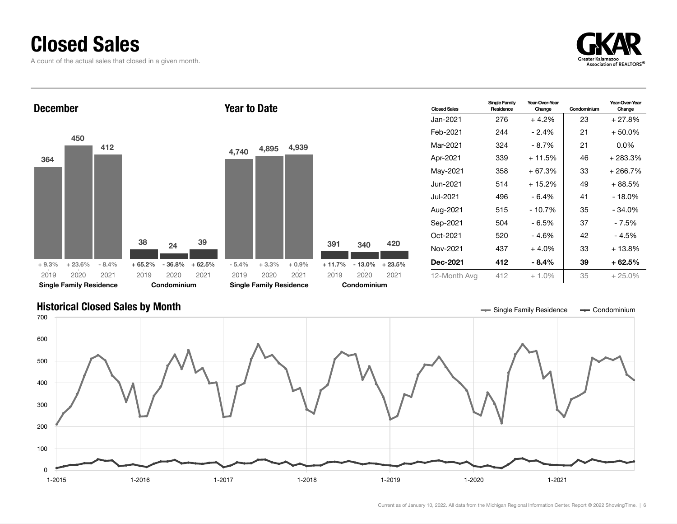### Closed Sales

A count of the actual sales that closed in a given month.

![](_page_5_Picture_2.jpeg)

![](_page_5_Figure_3.jpeg)

### Historical Closed Sales by Month **Single Tana and Single Tana and Single Family Residence Single Family Residence Single Family Residence Single Family Residence Single Family Residence**

![](_page_5_Figure_5.jpeg)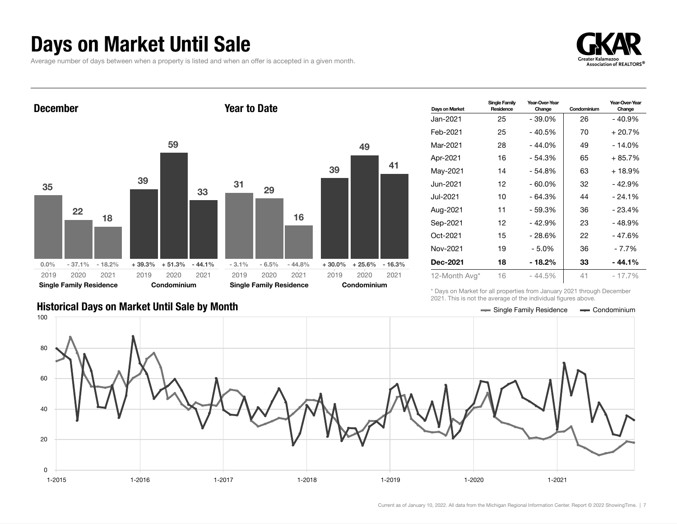### Days on Market Until Sale

Average number of days between when a property is listed and when an offer is accepted in a given month.

![](_page_6_Picture_2.jpeg)

![](_page_6_Figure_3.jpeg)

| Days on Market  | <b>Single Family</b><br>Residence | Year-Over-Year<br>Change | Condominium | Year-Over-Year<br>Change |
|-----------------|-----------------------------------|--------------------------|-------------|--------------------------|
| Jan-2021.       | 25                                | - 39.0%                  | 26          | $-40.9%$                 |
| Feb-2021        | 25                                | - 40.5%                  | 70          | + 20.7%                  |
| Mar-2021        | 28                                | - 44.0%                  | 49          | - 14.0%                  |
| Apr-2021        | 16                                | - 54.3%                  | 65          | + 85.7%                  |
| May-2021        | 14                                | - 54.8%                  | 63          | + 18.9%                  |
| Jun-2021.       | 12                                | $-60.0\%$                | 32          | $-42.9%$                 |
| Jul-2021        | 10                                | $-64.3%$                 | 44          | $-24.1%$                 |
| Aug-2021        | 11                                | $-59.3%$                 | 36          | $-23.4%$                 |
| Sep-2021        | 12                                | $-42.9%$                 | 23          | - 48.9%                  |
| Oct-2021        | 15                                | - 28.6%                  | 22          | - 47.6%                  |
| Nov-2021        | 19                                | $-5.0%$                  | 36          | $-7.7%$                  |
| <b>Dec-2021</b> | 18                                | - 18.2%                  | 33          | - 44.1%                  |
| 12-Month Avg*   | 16                                | $-44.5%$                 | 41          | - 17.7%                  |

\* Days on Market for all properties from January 2021 through December 2021. This is not the average of the individual figures above.

![](_page_6_Figure_6.jpeg)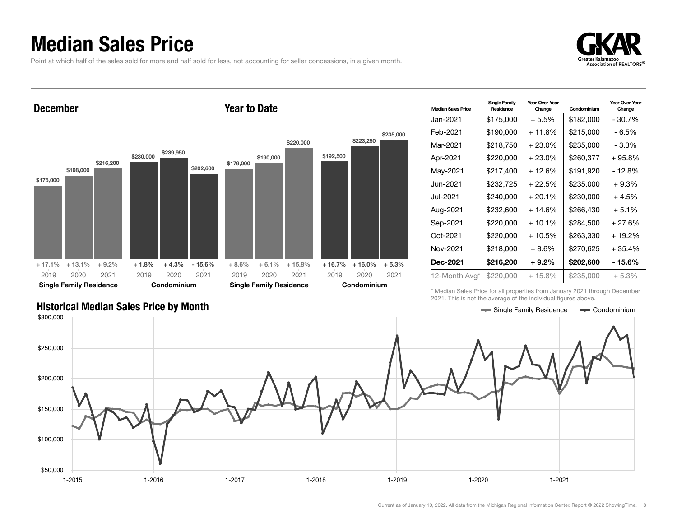### Median Sales Price

Point at which half of the sales sold for more and half sold for less, not accounting for seller concessions, in a given month.

![](_page_7_Picture_2.jpeg)

![](_page_7_Figure_3.jpeg)

| <b>Median Sales Price</b> | <b>Single Family</b><br>Residence | Year-Over-Year<br>Change | Condominium | Year-Over-Year<br>Change |
|---------------------------|-----------------------------------|--------------------------|-------------|--------------------------|
| Jan-2021 <b>.</b>         | \$175,000                         | $+5.5%$                  | \$182,000   | - 30.7%                  |
| Feb-2021                  | \$190,000                         | + 11.8%                  | \$215,000   | - 6.5%                   |
| Mar-2021                  | \$218,750                         | $+23.0\%$                | \$235,000   | - 3.3%                   |
| Apr-2021                  | \$220,000                         | $+23.0\%$                | \$260,377   | + 95.8%                  |
| May-2021                  | \$217,400                         | + 12.6%                  | \$191,920   | - 12.8%                  |
| Jun-2021 <b>.</b>         | \$232,725                         | + 22.5%                  | \$235,000   | $+9.3%$                  |
| Jul-2021                  | \$240.000                         | $+20.1%$                 | \$230,000   | + 4.5%                   |
| Aug-2021                  | \$232,600                         | + 14.6%                  | \$266.430   | $+5.1%$                  |
| Sep-2021                  | \$220,000                         | $+10.1\%$                | \$284.500   | $+27.6%$                 |
| Oct-2021                  | \$220.000                         | + 10.5%                  | \$263.330   | + 19.2%                  |
| Nov-2021                  | \$218,000                         | $+8.6\%$                 | \$270.625   | $+35.4%$                 |
| Dec-2021                  | \$216,200                         | $+9.2\%$                 | \$202,600   | - 15.6%                  |
| 12-Month Avg*             | \$220,000                         | $+15.8\%$                | \$235,000   | $+5.3%$                  |

\* Median Sales Price for all properties from January 2021 through December 2021. This is not the average of the individual figures above.

![](_page_7_Figure_6.jpeg)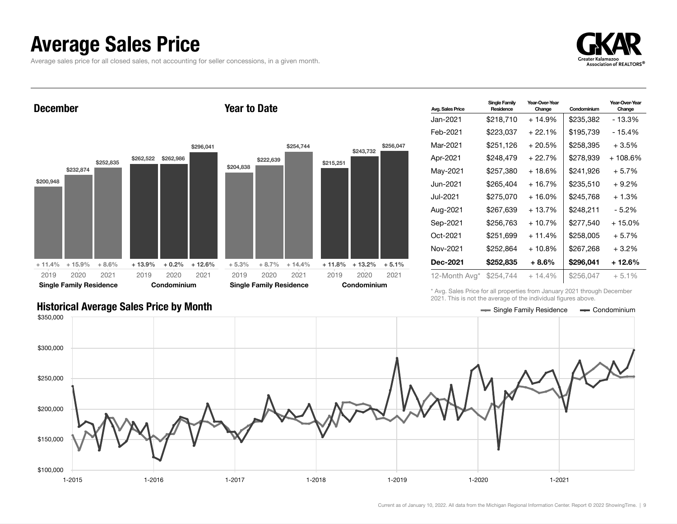### Average Sales Price

Average sales price for all closed sales, not accounting for seller concessions, in a given month.

![](_page_8_Picture_2.jpeg)

December \$200,948 \$232,874 \$252,835 + 11.4% + 15.9% + 8.6% \$262,522 \$262,986 \$296,041 + 13.9% + 0.2% + 12.6% 2019 Single Family Residence 2020 2021 2019 Condominium 2020 2021 Year to Date \$204,838 \$222,639 \$254,744  $+ 5.3\% + 8.7\% + 14.4\%$ \$215,251 \$243,732 \$256,047  $+ 11.8\% + 13.2\% + 5.1\%$ 2019 Single Family Residence 2020 2021 2019 Condominium 2020 2021

| <b>Avg. Sales Price</b> | <b>Single Family</b><br>Residence | Year-Over-Year<br>Change | Condominium | Year-Over-Year<br>Change |
|-------------------------|-----------------------------------|--------------------------|-------------|--------------------------|
| Jan-2021.               | \$218,710                         | + 14.9%                  | \$235,382   | - 13.3%                  |
| Feb-2021                | \$223,037                         | $+22.1%$                 | \$195.739   | - 15.4%                  |
| Mar-2021                | \$251,126                         | $+20.5%$                 | \$258,395   | $+3.5%$                  |
| Apr-2021                | \$248,479                         | + 22.7%                  | \$278,939   | + 108.6%                 |
| May-2021                | \$257,380                         | + 18.6%                  | \$241,926   | $+5.7%$                  |
| Jun-2021 <b>.</b>       | \$265,404                         | $+16.7%$                 | \$235,510   | $+9.2%$                  |
| Jul-2021.               | \$275,070                         | + 16.0%                  | \$245.768   | + 1.3%                   |
| Aug-2021                | \$267,639                         | $+13.7%$                 | \$248,211   | $-5.2%$                  |
| Sep-2021                | \$256,763                         | $+10.7%$                 | \$277,540   | $+15.0%$                 |
| Oct-2021                | \$251,699                         | $+11.4%$                 | \$258,005   | + 5.7%                   |
| Nov-2021                | \$252,864                         | $+10.8%$                 | \$267,268   | $+3.2%$                  |
| <b>Dec-2021</b>         | \$252,835                         | $+8.6\%$                 | \$296,041   | $+12.6%$                 |
| 12-Month Avg*           | \$254,744                         | $+14.4%$                 | \$256,047   | $+5.1%$                  |

\* Avg. Sales Price for all properties from January 2021 through December 2021. This is not the average of the individual figures above.

![](_page_8_Figure_6.jpeg)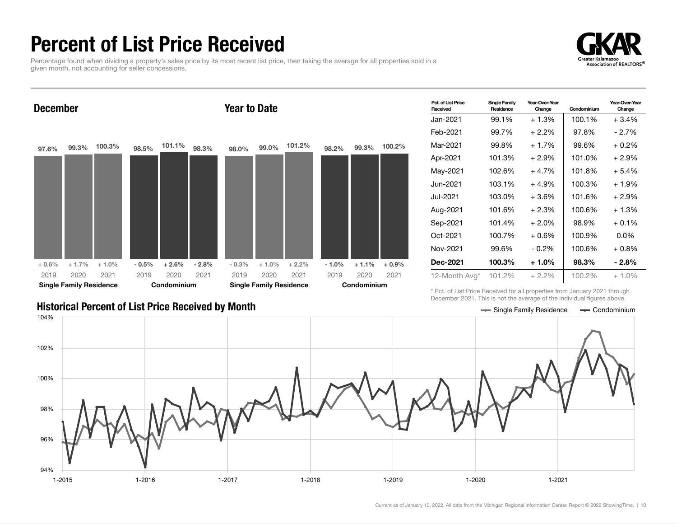## Percent of List Price Received

Percentage found when dividing a property's sales price by its most recent list price, then taking the average for all properties sold in a given month, not accounting for seller concessions.

![](_page_9_Picture_2.jpeg)

![](_page_9_Figure_3.jpeg)

| Pct. of List Price<br>Received | <b>Single Family</b><br>Residence | Year-Over-Year<br>Change | Condominium | Year-Over-Year<br>Change |
|--------------------------------|-----------------------------------|--------------------------|-------------|--------------------------|
| Jan-2021.                      | 99.1%                             | $+1.3%$                  | 100.1%      | $+3.4%$                  |
| Feb-2021                       | 99.7%                             | $+2.2\%$                 | 97.8%       | - 2.7%                   |
| Mar-2021                       | 99.8%                             | $+1.7%$                  | 99.6%       | $+0.2\%$                 |
| Apr-2021                       | 101.3%                            | + 2.9%                   | 101.0%      | $+2.9%$                  |
| May-2021                       | 102.6%                            | $+4.7%$                  | 101.8%      | $+5.4%$                  |
| Jun-2021                       | 103.1%                            | $+4.9%$                  | 100.3%      | + 1.9%                   |
| Jul-2021                       | 103.0%                            | $+3.6\%$                 | 101.6%      | + 2.9%                   |
| Aug-2021                       | 101.6%                            | $+2.3%$                  | 100.6%      | $+1.3%$                  |
| Sep-2021                       | 101.4%                            | $+2.0\%$                 | 98.9%       | $+0.1\%$                 |
| Oct-2021                       | 100.7%                            | $+0.6%$                  | 100.9%      | $0.0\%$                  |
| Nov-2021                       | 99.6%                             | $-0.2%$                  | 100.6%      | $+0.8%$                  |
| <b>Dec-2021</b>                | 100.3%                            | $+1.0\%$                 | 98.3%       | - 2.8%                   |
| 12-Month Avg*                  | 101.2%                            | $+2.2\%$                 | 100.2%      | $+1.0%$                  |

\* Pct. of List Price Received for all properties from January 2021 through December 2021. This is not the average of the individual figures above.

![](_page_9_Figure_6.jpeg)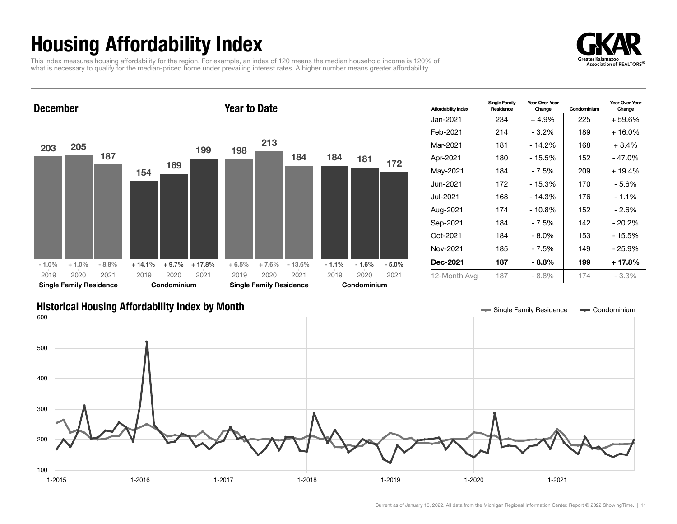## Housing Affordability Index

This index measures housing affordability for the region. For example, an index of 120 means the median household income is 120% of what is necessary to qualify for the median-priced home under prevailing interest rates. A higher number means greater affordability.

![](_page_10_Picture_2.jpeg)

### December 203 205 187  $-1.0\%$   $+1.0\%$   $-8.8\%$ 154 169 199  $+ 14.1\% + 9.7\% + 17.8\%$ 2019 Single Family Residence 2020 2021 2019 Condominium 2020 2021 Year to Date 198 213 184  $+ 6.5\% + 7.6\% - 13.6\%$ 184 181 172 - 1.1% - 1.6% - 5.0% 2019 Single Family Residence 2020 2021 2019 Condominium 2020 2021

| <b>Affordability Index</b> | <b>Single Family</b><br>Residence | Year-Over-Year<br>Change | Condominium | Year-Over-Year<br>Change |
|----------------------------|-----------------------------------|--------------------------|-------------|--------------------------|
| Jan-2021                   | 234                               | $+4.9%$                  | 225         | + 59.6%                  |
| Feb-2021                   | 214                               | $-3.2\%$                 | 189         | + 16.0%                  |
| Mar-2021                   | 181                               | $-14.2%$                 | 168         | $+8.4%$                  |
| Apr-2021                   | 180                               | - 15.5%                  | 152         | - 47.0%                  |
| May-2021                   | 184                               | $-7.5%$                  | 209         | $+19.4%$                 |
| Jun-2021 <b>.</b>          | 172                               | - 15.3%                  | 170         | - 5.6%                   |
| Jul-2021.                  | 168                               | $-14.3%$                 | 176         | $-1.1%$                  |
| Aug-2021                   | 174                               | $-10.8%$                 | 152         | $-2.6%$                  |
| Sep-2021                   | 184                               | $-7.5%$                  | 142         | $-20.2\%$                |
| Oct-2021                   | 184                               | - 8.0%                   | 153         | - 15.5%                  |
| Nov-2021                   | 185                               | - 7.5%                   | 149         | - 25.9%                  |
| <b>Dec-2021</b>            | 187                               | - 8.8%                   | 199         | + 17.8%                  |
| 12-Month Avg               | 187                               | $-8.8%$                  | 174         | $-3.3\%$                 |

### Historical Housing Affordability Index by Month Single Tark Condominium Condominium

![](_page_10_Figure_6.jpeg)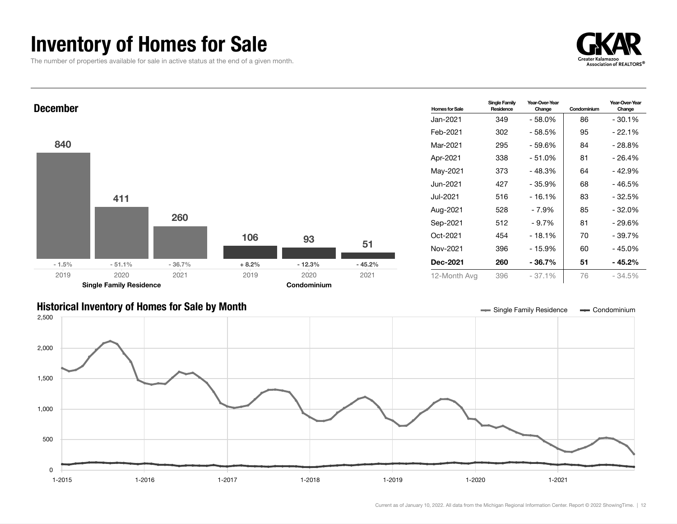## Inventory of Homes for Sale

The number of properties available for sale in active status at the end of a given month.

![](_page_11_Picture_2.jpeg)

![](_page_11_Figure_3.jpeg)

![](_page_11_Figure_4.jpeg)

![](_page_11_Figure_5.jpeg)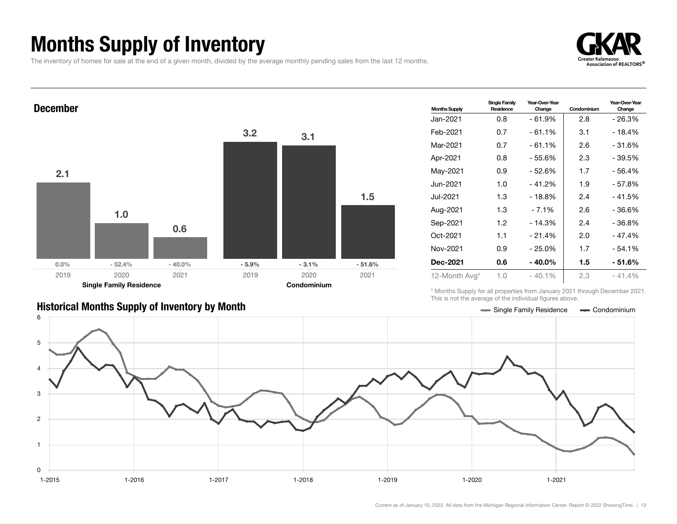## Months Supply of Inventory

The inventory of homes for sale at the end of a given month, divided by the average monthly pending sales from the last 12 months.

![](_page_12_Picture_2.jpeg)

Year-Over-Year Change

![](_page_12_Figure_3.jpeg)

### Historical Months Supply of Inventory by Month Single Taxas and Single Family Residence Condominium

| 12-Month Avg* | 1.0 | $-40.1%$       | 2.3      | $-41.4%$ |
|---------------|-----|----------------|----------|----------|
| Dec-2021      | 0.6 | $-40.0\%$      | 1.5      | $-51.6%$ |
| Nov-2021      | 0.9 | $-25.0%$       | 1.7      | $-54.1%$ |
| Oct-2021      | 1.1 | $-21.4%$       | 2.0      | $-47.4%$ |
| Sep-2021      | 1.2 | $-14.3%$       | 2.4      | $-36.8%$ |
| Aug-2021      | 1.3 | $-7.1%$        | 2.6      | $-36.6%$ |
| Jul-2021      | 1.3 | $-18.8%$       | 2.4      | $-41.5%$ |
| Jun-2021      | 1.0 | - 41.2%        | 1.9      | $-57.8%$ |
| May-2021      | 0.9 | $-52.6%$       | 1.7      | $-56.4%$ |
| Apr-2021      | 0.8 | - 55.6%        | 2.3      | $-39.5%$ |
| Mar-2021      | 0.7 | $-61.1%$       | 2.6      | $-31.6%$ |
| Feb-2021      | 0.7 | $-61.1%$       | 3.1      | $-18.4%$ |
| 0au 2021      | v.v | <b>0000000</b> | <u>u</u> | 20.U / U |

\* Months Supply for all properties from January 2021 through December 2021. This is not the average of the individual figures above.

![](_page_12_Figure_7.jpeg)